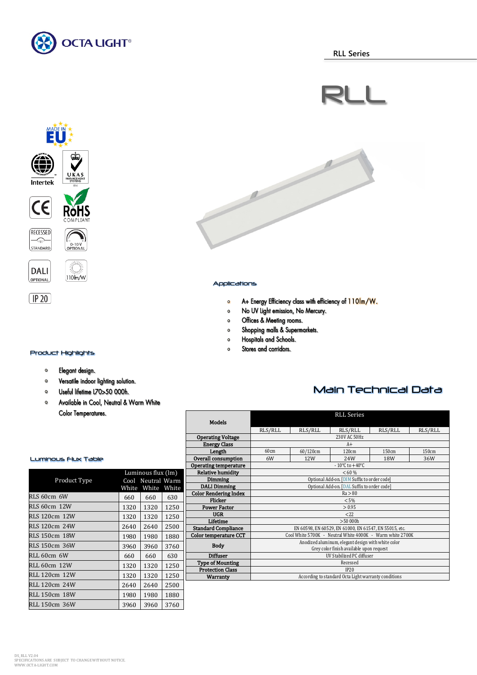







0-10V<br>OPTIONAL

∛ँ€

 $110<sub>m</sub>$  w



 $(\overline{IP20})$ 

### Product Highlights

#### Elegant design.  $\bullet$

- $\bullet$ Versatile indoor lighting solution.
- Useful lifetime L70>50 000h.  $\bullet$
- Available in Cool, Neutral & Warm White  $\bullet$ **Color Temperatures.**



### Applications

- A+ Energy Efficiency class with efficiency of 110lm/W.  $\bullet$
- $\bullet$ No UV Light emission, No Mercury.
- Offices & Meeting rooms.  $\mathsf{o}$
- Shopping malls & Supermarkets.  $\bullet$
- Hospitals and Schools.  $\bullet$
- Stores and corridors.  $\Omega$

### Main Technical Data

|                              | RLL Series                                                |          |         |         |         |  |
|------------------------------|-----------------------------------------------------------|----------|---------|---------|---------|--|
| <b>Models</b>                |                                                           |          |         |         |         |  |
|                              | RLS/RLL                                                   | RLS/RLL  | RLS/RLL | RLS/RLL | RLS/RLL |  |
| <b>Operating Voltage</b>     | 230V AC 50Hz                                              |          |         |         |         |  |
| <b>Energy Class</b>          | $A+$                                                      |          |         |         |         |  |
| Length                       | 60cm                                                      | 60/120cm | 120cm   | 150cm   | 150cm   |  |
| <b>Overall consumption</b>   | 6W                                                        | 12W      | 2.4W    | 18W     | 36W     |  |
| Operating temperature        | $-10^{\circ}$ C to $+40^{\circ}$ C                        |          |         |         |         |  |
| <b>Relative humidity</b>     | < 60 %                                                    |          |         |         |         |  |
| Dimming                      | Optional Add-on. [DIM Suffix to order code]               |          |         |         |         |  |
| <b>DALI Dimming</b>          | Optional Add-on. [DAL Suffix to order code]               |          |         |         |         |  |
| <b>Color Rendering Index</b> | Ra > 80                                                   |          |         |         |         |  |
| Flicker                      | $< 5\%$                                                   |          |         |         |         |  |
| <b>Power Factor</b>          | > 0.95                                                    |          |         |         |         |  |
| <b>UGR</b>                   | 222                                                       |          |         |         |         |  |
| Lifetime                     | >50000h                                                   |          |         |         |         |  |
| <b>Standard Compliance</b>   | EN 60598, EN 60529, EN 61000, EN 61547, EN 55015, etc.    |          |         |         |         |  |
| Color temperature CCT        | Cool White 5700K - Neutral White 4000K - Warm white 2700K |          |         |         |         |  |
| <b>Body</b>                  | Anodized aluminum, elegant design with white color        |          |         |         |         |  |
|                              | Grey color finish available upon request                  |          |         |         |         |  |
| <b>Diffuser</b>              | <b>UV Stabilized PC diffuser</b>                          |          |         |         |         |  |
| <b>Type of Mounting</b>      | Recessed                                                  |          |         |         |         |  |
| <b>Protection Class</b>      | IP20                                                      |          |         |         |         |  |
| Warranty                     | According to standard Octa Light warranty conditions      |          |         |         |         |  |
|                              |                                                           |          |         |         |         |  |

### Luminous Flux Table

| Product Type         | Luminous flux (lm)<br>Cool Neutral Warm |       |       |  |
|----------------------|-----------------------------------------|-------|-------|--|
|                      | White                                   | White | White |  |
| RLS 60cm 6W          | 660                                     | 660   | 630   |  |
| <b>RLS 60cm 12W</b>  | 1320                                    | 1320  | 1250  |  |
| RLS 120cm 12W        | 1320                                    | 1320  | 1250  |  |
| <b>RLS 120cm 24W</b> | 2640                                    | 2640  | 2500  |  |
| <b>RLS 150cm 18W</b> | 1980                                    | 1980  | 1880  |  |
| RLS 150cm 36W        | 3960                                    | 3960  | 3760  |  |
| $RLL$ 60cm $6W$      | 660                                     | 660   | 630   |  |
| RLL 60cm 12W         | 1320                                    | 1320  | 1250  |  |
| RLL 120cm 12W        | 1320                                    | 1320  | 1250  |  |
| RLL 120cm 24W        | 2640                                    | 2640  | 2500  |  |
| <b>RLL 150cm 18W</b> | 1980                                    | 1980  | 1880  |  |
| RLL 150cm 36W        | 3960                                    | 3960  | 3760  |  |